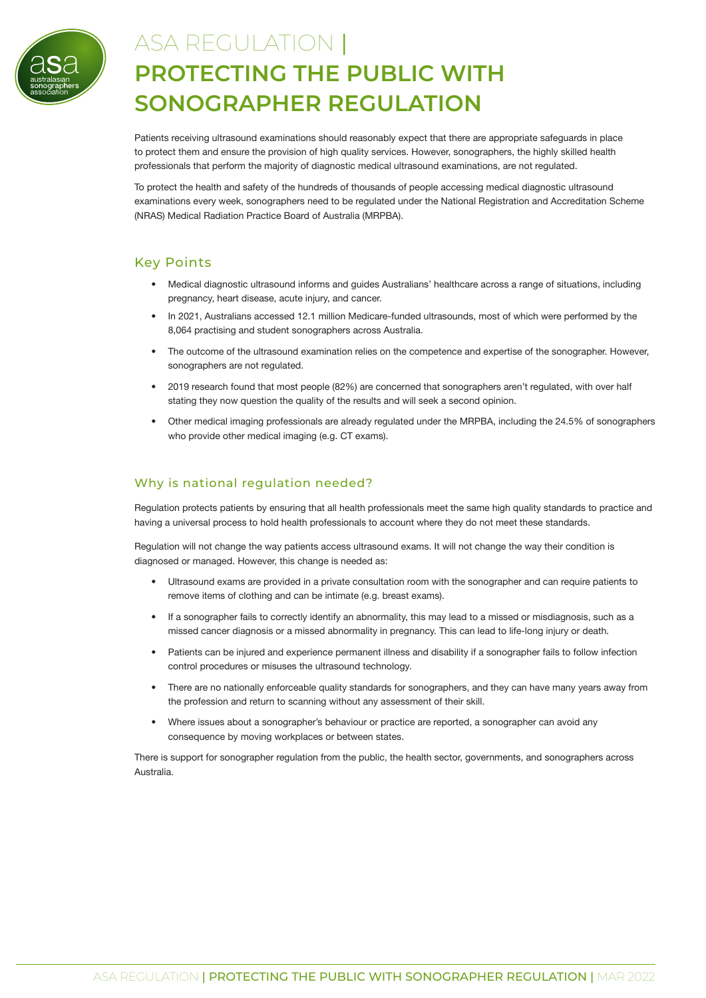

# ASA REGULATION | **PROTECTING THE PUBLIC WITH SONOGRAPHER REGULATION**

Patients receiving ultrasound examinations should reasonably expect that there are appropriate safeguards in place to protect them and ensure the provision of high quality services. However, sonographers, the highly skilled health professionals that perform the majority of diagnostic medical ultrasound examinations, are not regulated.

To protect the health and safety of the hundreds of thousands of people accessing medical diagnostic ultrasound examinations every week, sonographers need to be regulated under the National Registration and Accreditation Scheme (NRAS) Medical Radiation Practice Board of Australia (MRPBA).

# Key Points

- Medical diagnostic ultrasound informs and guides Australians' healthcare across a range of situations, including pregnancy, heart disease, acute injury, and cancer.
- In 2021, Australians accessed 12.1 million Medicare-funded ultrasounds, most of which were performed by the 8,064 practising and student sonographers across Australia.
- The outcome of the ultrasound examination relies on the competence and expertise of the sonographer. However, sonographers are not regulated.
- 2019 research found that most people (82%) are concerned that sonographers aren't regulated, with over half stating they now question the quality of the results and will seek a second opinion.
- Other medical imaging professionals are already regulated under the MRPBA, including the 24.5% of sonographers who provide other medical imaging (e.g. CT exams).

# Why is national regulation needed?

Regulation protects patients by ensuring that all health professionals meet the same high quality standards to practice and having a universal process to hold health professionals to account where they do not meet these standards.

Regulation will not change the way patients access ultrasound exams. It will not change the way their condition is diagnosed or managed. However, this change is needed as:

- Ultrasound exams are provided in a private consultation room with the sonographer and can require patients to remove items of clothing and can be intimate (e.g. breast exams).
- If a sonographer fails to correctly identify an abnormality, this may lead to a missed or misdiagnosis, such as a missed cancer diagnosis or a missed abnormality in pregnancy. This can lead to life-long injury or death.
- Patients can be injured and experience permanent illness and disability if a sonographer fails to follow infection control procedures or misuses the ultrasound technology.
- There are no nationally enforceable quality standards for sonographers, and they can have many years away from the profession and return to scanning without any assessment of their skill.
- Where issues about a sonographer's behaviour or practice are reported, a sonographer can avoid any consequence by moving workplaces or between states.

There is support for sonographer regulation from the public, the health sector, governments, and sonographers across Australia.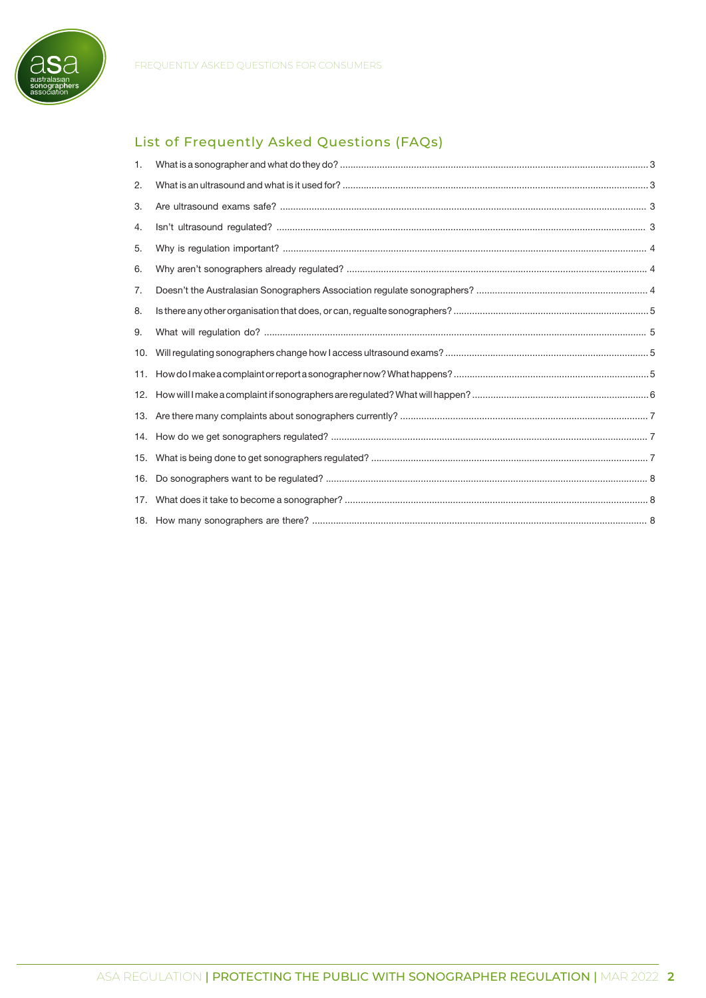

# List of Frequently Asked Questions (FAQs)

| 1.  |  |
|-----|--|
| 2.  |  |
| 3.  |  |
| 4.  |  |
| 5.  |  |
| 6.  |  |
| 7.  |  |
| 8.  |  |
| 9.  |  |
| 10. |  |
|     |  |
|     |  |
|     |  |
|     |  |
| 15. |  |
| 16. |  |
| 17. |  |
|     |  |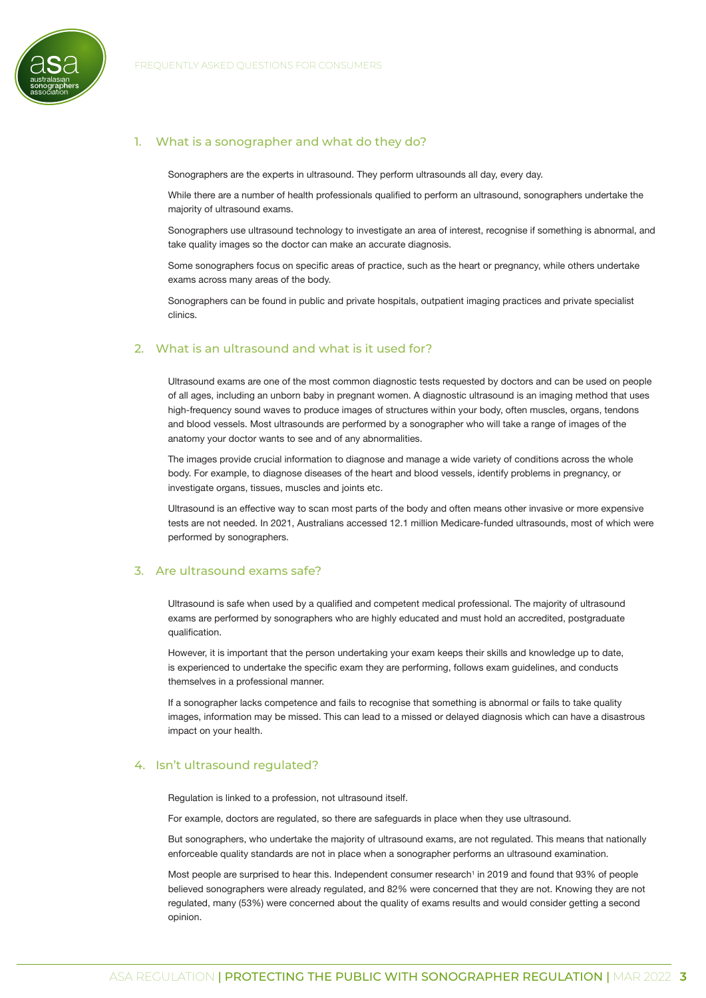

# 1. What is a sonographer and what do they do?

<span id="page-2-0"></span>Sonographers are the experts in ultrasound. They perform ultrasounds all day, every day.

While there are a number of health professionals qualified to perform an ultrasound, sonographers undertake the majority of ultrasound exams.

Sonographers use ultrasound technology to investigate an area of interest, recognise if something is abnormal, and take quality images so the doctor can make an accurate diagnosis.

Some sonographers focus on specific areas of practice, such as the heart or pregnancy, while others undertake exams across many areas of the body.

Sonographers can be found in public and private hospitals, outpatient imaging practices and private specialist clinics.

#### 2. What is an ultrasound and what is it used for?

<span id="page-2-1"></span>Ultrasound exams are one of the most common diagnostic tests requested by doctors and can be used on people of all ages, including an unborn baby in pregnant women. A diagnostic ultrasound is an imaging method that uses high-frequency sound waves to produce images of structures within your body, often muscles, organs, tendons and blood vessels. Most ultrasounds are performed by a sonographer who will take a range of images of the anatomy your doctor wants to see and of any abnormalities.

The images provide crucial information to diagnose and manage a wide variety of conditions across the whole body. For example, to diagnose diseases of the heart and blood vessels, identify problems in pregnancy, or investigate organs, tissues, muscles and joints etc.

Ultrasound is an effective way to scan most parts of the body and often means other invasive or more expensive tests are not needed. In 2021, Australians accessed 12.1 million Medicare-funded ultrasounds, most of which were performed by sonographers.

#### 3. Are ultrasound exams safe?

<span id="page-2-2"></span>Ultrasound is safe when used by a qualified and competent medical professional. The majority of ultrasound exams are performed by sonographers who are highly educated and must hold an accredited, postgraduate qualification.

However, it is important that the person undertaking your exam keeps their skills and knowledge up to date, is experienced to undertake the specific exam they are performing, follows exam guidelines, and conducts themselves in a professional manner.

If a sonographer lacks competence and fails to recognise that something is abnormal or fails to take quality images, information may be missed. This can lead to a missed or delayed diagnosis which can have a disastrous impact on your health.

#### 4. Isn't ultrasound regulated?

<span id="page-2-3"></span>Regulation is linked to a profession, not ultrasound itself.

For example, doctors are regulated, so there are safeguards in place when they use ultrasound.

But sonographers, who undertake the majority of ultrasound exams, are not regulated. This means that nationally enforceable quality standards are not in place when a sonographer performs an ultrasound examination.

Most people are surprised to hear this. Independent consumer research<sup>1</sup> in 2019 and found that 93% of people believed sonographers were already regulated, and 82% were concerned that they are not. Knowing they are not regulated, many (53%) were concerned about the quality of exams results and would consider getting a second opinion.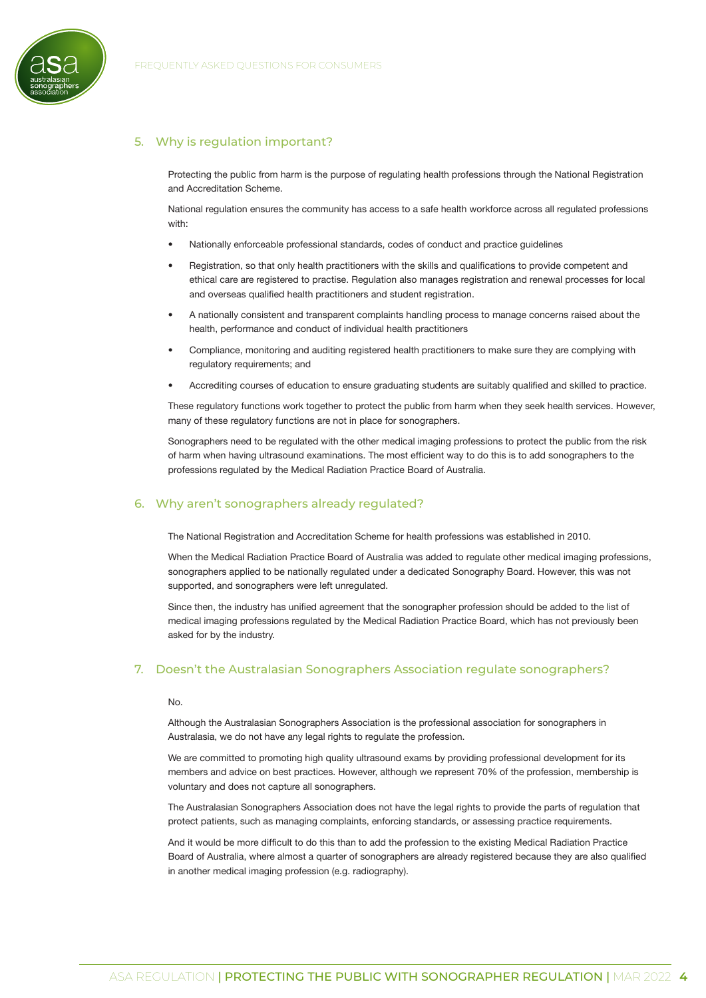

# 5. Why is regulation important?

<span id="page-3-0"></span>Protecting the public from harm is the purpose of regulating health professions through the National Registration and Accreditation Scheme.

National regulation ensures the community has access to a safe health workforce across all regulated professions with:

- Nationally enforceable professional standards, codes of conduct and practice guidelines
- Registration, so that only health practitioners with the skills and qualifications to provide competent and ethical care are registered to practise. Regulation also manages registration and renewal processes for local and overseas qualified health practitioners and student registration.
- A nationally consistent and transparent complaints handling process to manage concerns raised about the health, performance and conduct of individual health practitioners
- Compliance, monitoring and auditing registered health practitioners to make sure they are complying with regulatory requirements; and
- Accrediting courses of education to ensure graduating students are suitably qualified and skilled to practice.

These regulatory functions work together to protect the public from harm when they seek health services. However, many of these regulatory functions are not in place for sonographers.

Sonographers need to be regulated with the other medical imaging professions to protect the public from the risk of harm when having ultrasound examinations. The most efficient way to do this is to add sonographers to the professions regulated by the Medical Radiation Practice Board of Australia.

# 6. Why aren't sonographers already regulated?

<span id="page-3-1"></span>The National Registration and Accreditation Scheme for health professions was established in 2010.

When the Medical Radiation Practice Board of Australia was added to regulate other medical imaging professions, sonographers applied to be nationally regulated under a dedicated Sonography Board. However, this was not supported, and sonographers were left unregulated.

Since then, the industry has unified agreement that the sonographer profession should be added to the list of medical imaging professions regulated by the Medical Radiation Practice Board, which has not previously been asked for by the industry.

#### 7. Doesn't the Australasian Sonographers Association regulate sonographers?

#### <span id="page-3-2"></span>No.

Although the Australasian Sonographers Association is the professional association for sonographers in Australasia, we do not have any legal rights to regulate the profession.

We are committed to promoting high quality ultrasound exams by providing professional development for its members and advice on best practices. However, although we represent 70% of the profession, membership is voluntary and does not capture all sonographers.

The Australasian Sonographers Association does not have the legal rights to provide the parts of regulation that protect patients, such as managing complaints, enforcing standards, or assessing practice requirements.

And it would be more difficult to do this than to add the profession to the existing Medical Radiation Practice Board of Australia, where almost a quarter of sonographers are already registered because they are also qualified in another medical imaging profession (e.g. radiography).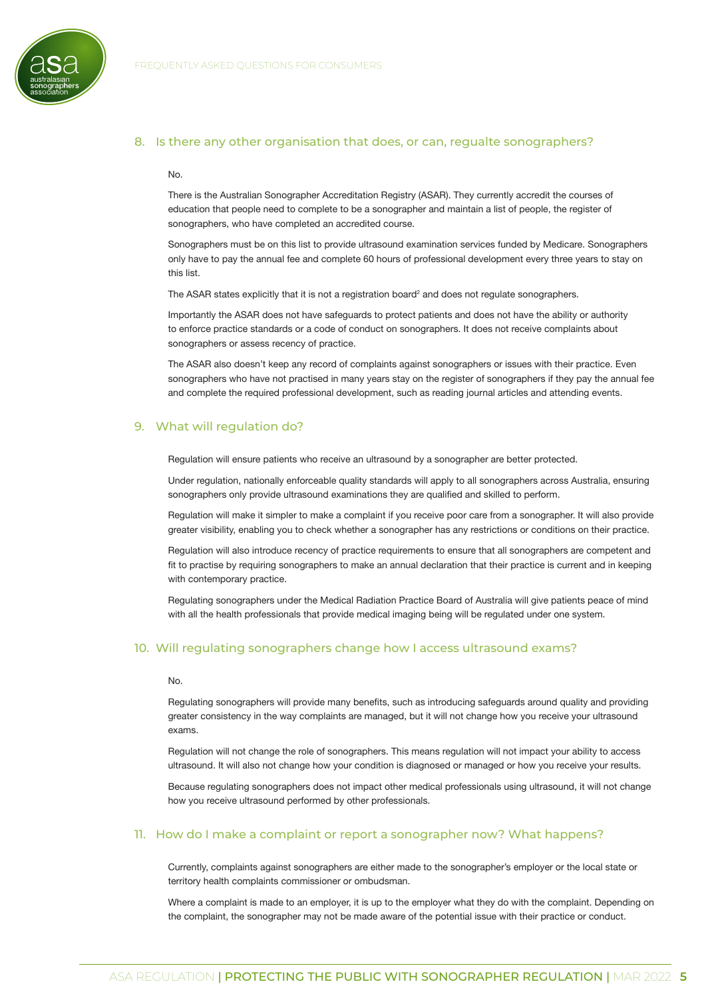

#### 8. Is there any other organisation that does, or can, regualte sonographers?

#### <span id="page-4-0"></span>No.

There is the Australian Sonographer Accreditation Registry (ASAR). They currently accredit the courses of education that people need to complete to be a sonographer and maintain a list of people, the register of sonographers, who have completed an accredited course.

Sonographers must be on this list to provide ultrasound examination services funded by Medicare. Sonographers only have to pay the annual fee and complete 60 hours of professional development every three years to stay on this list.

The ASAR states explicitly that it is not a registration board<sup>2</sup> and does not regulate sonographers.

Importantly the ASAR does not have safeguards to protect patients and does not have the ability or authority to enforce practice standards or a code of conduct on sonographers. It does not receive complaints about sonographers or assess recency of practice.

The ASAR also doesn't keep any record of complaints against sonographers or issues with their practice. Even sonographers who have not practised in many years stay on the register of sonographers if they pay the annual fee and complete the required professional development, such as reading journal articles and attending events.

#### 9. What will regulation do?

<span id="page-4-1"></span>Regulation will ensure patients who receive an ultrasound by a sonographer are better protected.

Under regulation, nationally enforceable quality standards will apply to all sonographers across Australia, ensuring sonographers only provide ultrasound examinations they are qualified and skilled to perform.

Regulation will make it simpler to make a complaint if you receive poor care from a sonographer. It will also provide greater visibility, enabling you to check whether a sonographer has any restrictions or conditions on their practice.

Regulation will also introduce recency of practice requirements to ensure that all sonographers are competent and fit to practise by requiring sonographers to make an annual declaration that their practice is current and in keeping with contemporary practice.

Regulating sonographers under the Medical Radiation Practice Board of Australia will give patients peace of mind with all the health professionals that provide medical imaging being will be regulated under one system.

#### 10. Will regulating sonographers change how I access ultrasound exams?

#### <span id="page-4-2"></span>No.

Regulating sonographers will provide many benefits, such as introducing safeguards around quality and providing greater consistency in the way complaints are managed, but it will not change how you receive your ultrasound exams.

Regulation will not change the role of sonographers. This means regulation will not impact your ability to access ultrasound. It will also not change how your condition is diagnosed or managed or how you receive your results.

Because regulating sonographers does not impact other medical professionals using ultrasound, it will not change how you receive ultrasound performed by other professionals.

# 11. How do I make a complaint or report a sonographer now? What happens?

<span id="page-4-3"></span>Currently, complaints against sonographers are either made to the sonographer's employer or the local state or territory health complaints commissioner or ombudsman.

Where a complaint is made to an employer, it is up to the employer what they do with the complaint. Depending on the complaint, the sonographer may not be made aware of the potential issue with their practice or conduct.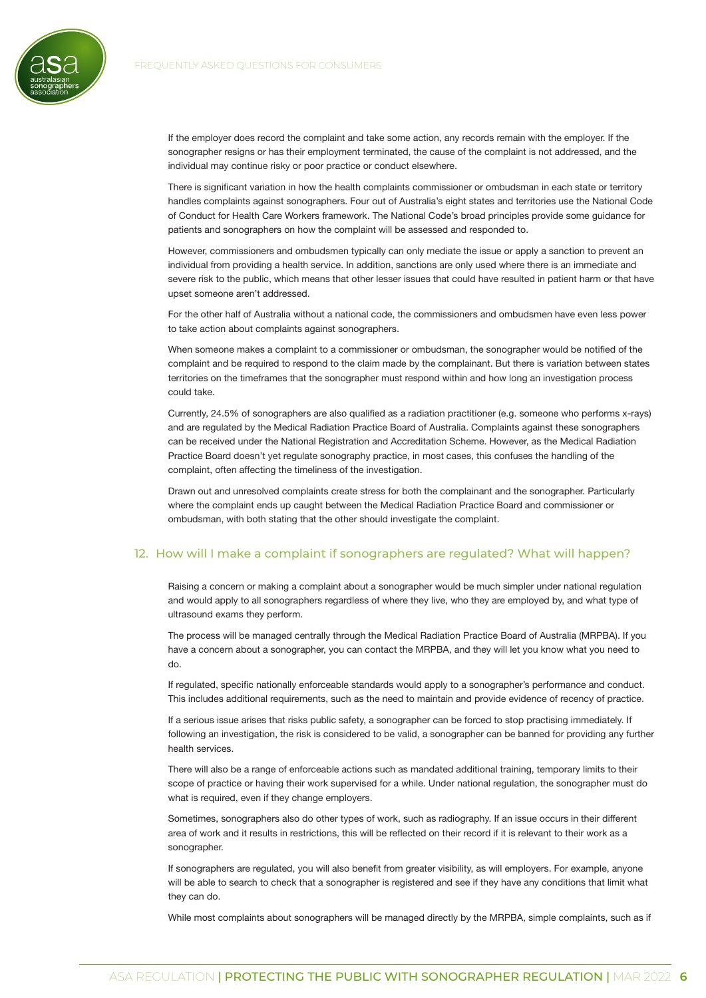

If the employer does record the complaint and take some action, any records remain with the employer. If the sonographer resigns or has their employment terminated, the cause of the complaint is not addressed, and the individual may continue risky or poor practice or conduct elsewhere.

There is significant variation in how the health complaints commissioner or ombudsman in each state or territory handles complaints against sonographers. Four out of Australia's eight states and territories use the National Code of Conduct for Health Care Workers framework. The National Code's broad principles provide some guidance for patients and sonographers on how the complaint will be assessed and responded to.

However, commissioners and ombudsmen typically can only mediate the issue or apply a sanction to prevent an individual from providing a health service. In addition, sanctions are only used where there is an immediate and severe risk to the public, which means that other lesser issues that could have resulted in patient harm or that have upset someone aren't addressed.

For the other half of Australia without a national code, the commissioners and ombudsmen have even less power to take action about complaints against sonographers.

When someone makes a complaint to a commissioner or ombudsman, the sonographer would be notified of the complaint and be required to respond to the claim made by the complainant. But there is variation between states territories on the timeframes that the sonographer must respond within and how long an investigation process could take.

Currently, 24.5% of sonographers are also qualified as a radiation practitioner (e.g. someone who performs x-rays) and are regulated by the Medical Radiation Practice Board of Australia. Complaints against these sonographers can be received under the National Registration and Accreditation Scheme. However, as the Medical Radiation Practice Board doesn't yet regulate sonography practice, in most cases, this confuses the handling of the complaint, often affecting the timeliness of the investigation.

Drawn out and unresolved complaints create stress for both the complainant and the sonographer. Particularly where the complaint ends up caught between the Medical Radiation Practice Board and commissioner or ombudsman, with both stating that the other should investigate the complaint.

## 12. How will I make a complaint if sonographers are regulated? What will happen?

<span id="page-5-0"></span>Raising a concern or making a complaint about a sonographer would be much simpler under national regulation and would apply to all sonographers regardless of where they live, who they are employed by, and what type of ultrasound exams they perform.

The process will be managed centrally through the Medical Radiation Practice Board of Australia (MRPBA). If you have a concern about a sonographer, you can contact the MRPBA, and they will let you know what you need to do.

If regulated, specific nationally enforceable standards would apply to a sonographer's performance and conduct. This includes additional requirements, such as the need to maintain and provide evidence of recency of practice.

If a serious issue arises that risks public safety, a sonographer can be forced to stop practising immediately. If following an investigation, the risk is considered to be valid, a sonographer can be banned for providing any further health services.

There will also be a range of enforceable actions such as mandated additional training, temporary limits to their scope of practice or having their work supervised for a while. Under national regulation, the sonographer must do what is required, even if they change employers.

Sometimes, sonographers also do other types of work, such as radiography. If an issue occurs in their different area of work and it results in restrictions, this will be reflected on their record if it is relevant to their work as a sonographer.

If sonographers are regulated, you will also benefit from greater visibility, as will employers. For example, anyone will be able to search to check that a sonographer is registered and see if they have any conditions that limit what they can do.

While most complaints about sonographers will be managed directly by the MRPBA, simple complaints, such as if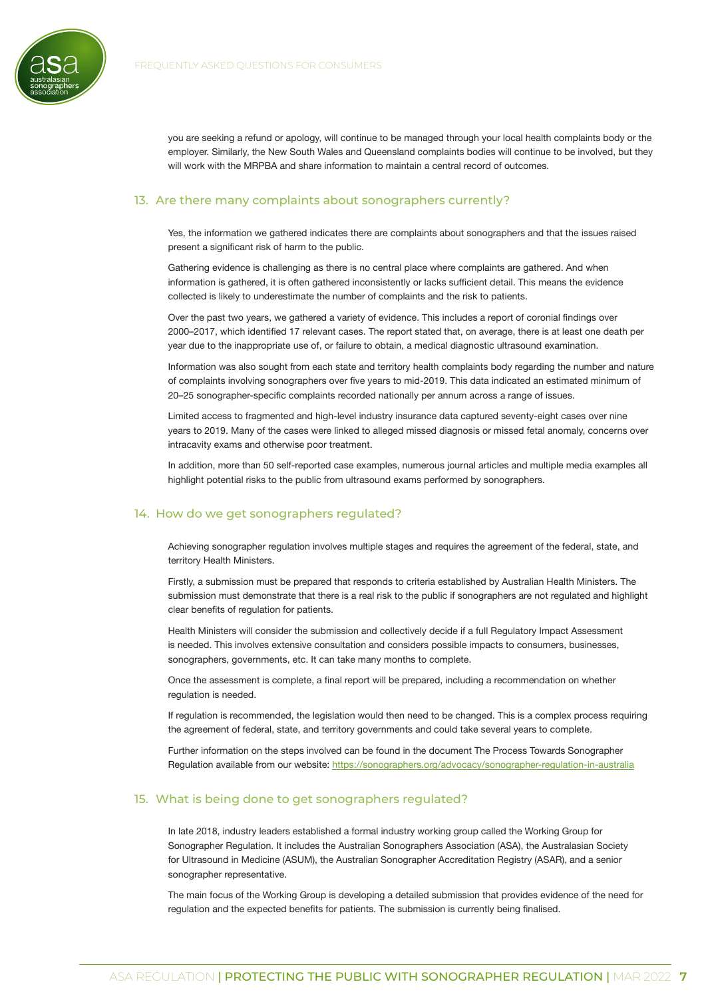

you are seeking a refund or apology, will continue to be managed through your local health complaints body or the employer. Similarly, the New South Wales and Queensland complaints bodies will continue to be involved, but they will work with the MRPBA and share information to maintain a central record of outcomes.

#### 13. Are there many complaints about sonographers currently?

<span id="page-6-0"></span>Yes, the information we gathered indicates there are complaints about sonographers and that the issues raised present a significant risk of harm to the public.

Gathering evidence is challenging as there is no central place where complaints are gathered. And when information is gathered, it is often gathered inconsistently or lacks sufficient detail. This means the evidence collected is likely to underestimate the number of complaints and the risk to patients.

Over the past two years, we gathered a variety of evidence. This includes a report of coronial findings over 2000–2017, which identified 17 relevant cases. The report stated that, on average, there is at least one death per year due to the inappropriate use of, or failure to obtain, a medical diagnostic ultrasound examination.

Information was also sought from each state and territory health complaints body regarding the number and nature of complaints involving sonographers over five years to mid-2019. This data indicated an estimated minimum of 20–25 sonographer-specific complaints recorded nationally per annum across a range of issues.

Limited access to fragmented and high-level industry insurance data captured seventy-eight cases over nine years to 2019. Many of the cases were linked to alleged missed diagnosis or missed fetal anomaly, concerns over intracavity exams and otherwise poor treatment.

In addition, more than 50 self-reported case examples, numerous journal articles and multiple media examples all highlight potential risks to the public from ultrasound exams performed by sonographers.

# 14. How do we get sonographers regulated?

<span id="page-6-1"></span>Achieving sonographer regulation involves multiple stages and requires the agreement of the federal, state, and territory Health Ministers.

Firstly, a submission must be prepared that responds to criteria established by Australian Health Ministers. The submission must demonstrate that there is a real risk to the public if sonographers are not regulated and highlight clear benefits of regulation for patients.

Health Ministers will consider the submission and collectively decide if a full Regulatory Impact Assessment is needed. This involves extensive consultation and considers possible impacts to consumers, businesses, sonographers, governments, etc. It can take many months to complete.

Once the assessment is complete, a final report will be prepared, including a recommendation on whether regulation is needed.

If regulation is recommended, the legislation would then need to be changed. This is a complex process requiring the agreement of federal, state, and territory governments and could take several years to complete.

Further information on the steps involved can be found in the document The Process Towards Sonographer Regulation available from our website:<https://sonographers.org/advocacy/sonographer-regulation-in-australia>

## 15. What is being done to get sonographers regulated?

<span id="page-6-2"></span>In late 2018, industry leaders established a formal industry working group called the Working Group for Sonographer Regulation. It includes the Australian Sonographers Association (ASA), the Australasian Society for Ultrasound in Medicine (ASUM), the Australian Sonographer Accreditation Registry (ASAR), and a senior sonographer representative.

The main focus of the Working Group is developing a detailed submission that provides evidence of the need for regulation and the expected benefits for patients. The submission is currently being finalised.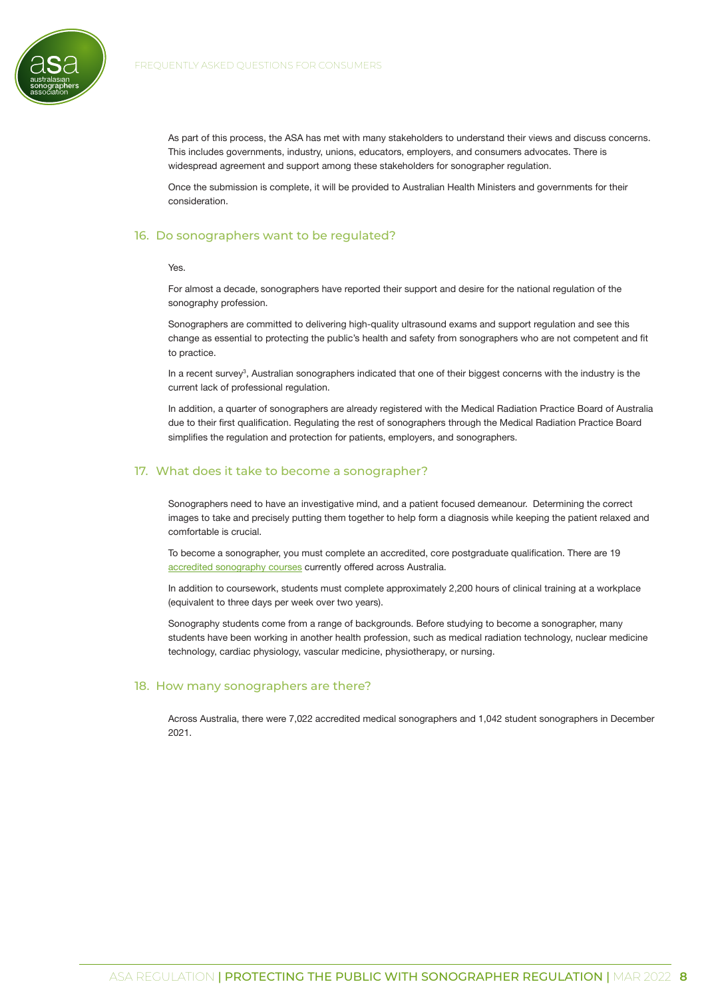

As part of this process, the ASA has met with many stakeholders to understand their views and discuss concerns. This includes governments, industry, unions, educators, employers, and consumers advocates. There is widespread agreement and support among these stakeholders for sonographer regulation.

Once the submission is complete, it will be provided to Australian Health Ministers and governments for their consideration.

#### 16. Do sonographers want to be regulated?

#### <span id="page-7-0"></span>Yes.

For almost a decade, sonographers have reported their support and desire for the national regulation of the sonography profession.

Sonographers are committed to delivering high-quality ultrasound exams and support regulation and see this change as essential to protecting the public's health and safety from sonographers who are not competent and fit to practice.

In a recent survey<sup>3</sup>, Australian sonographers indicated that one of their biggest concerns with the industry is the current lack of professional regulation.

In addition, a quarter of sonographers are already registered with the Medical Radiation Practice Board of Australia due to their first qualification. Regulating the rest of sonographers through the Medical Radiation Practice Board simplifies the regulation and protection for patients, employers, and sonographers.

#### 17. What does it take to become a sonographer?

<span id="page-7-1"></span>Sonographers need to have an investigative mind, and a patient focused demeanour. Determining the correct images to take and precisely putting them together to help form a diagnosis while keeping the patient relaxed and comfortable is crucial.

To become a sonographer, you must complete an accredited, core postgraduate qualification. There are 19 [accredited sonography courses](https://www.asar.com.au/course-accreditation/asar-accredited-courses/) currently offered across Australia.

In addition to coursework, students must complete approximately 2,200 hours of clinical training at a workplace (equivalent to three days per week over two years).

Sonography students come from a range of backgrounds. Before studying to become a sonographer, many students have been working in another health profession, such as medical radiation technology, nuclear medicine technology, cardiac physiology, vascular medicine, physiotherapy, or nursing.

#### 18. How many sonographers are there?

<span id="page-7-2"></span>Across Australia, there were 7,022 accredited medical sonographers and 1,042 student sonographers in December 2021.